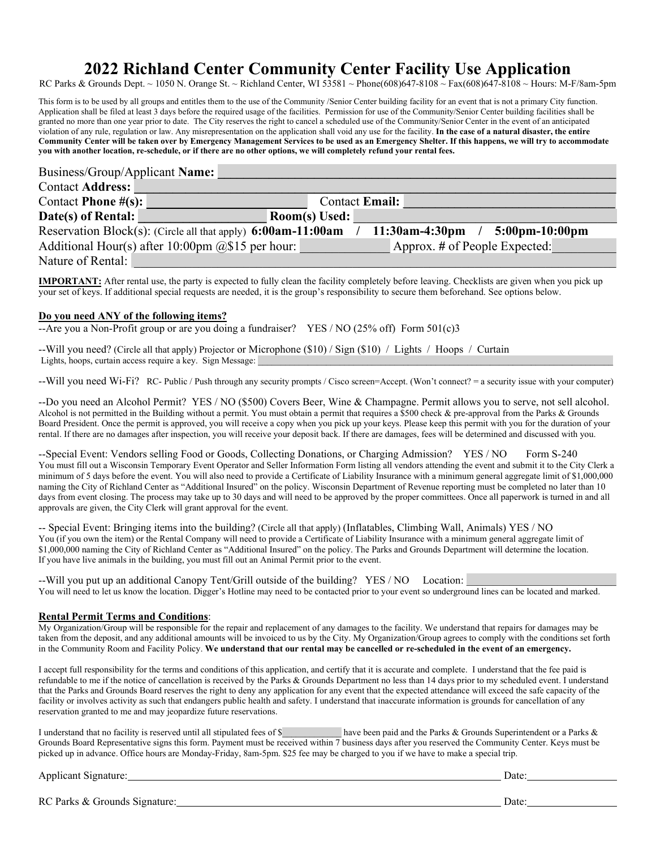# **2022 Richland Center Community Center Facility Use Application**

RC Parks & Grounds Dept. ~ 1050 N. Orange St. ~ Richland Center, WI 53581 ~ Phone(608)647-8108 ~ Fax(608)647-8108 ~ Hours: M-F/8am-5pm

This form is to be used by all groups and entitles them to the use of the Community /Senior Center building facility for an event that is not a primary City function. Application shall be filed at least 3 days before the required usage of the facilities. Permission for use of the Community/Senior Center building facilities shall be granted no more than one year prior to date. The City reserves the right to cancel a scheduled use of the Community/Senior Center in the event of an anticipated violation of any rule, regulation or law. Any misrepresentation on the application shall void any use for the facility. **In the case of a natural disaster, the entire Community Center will be taken over by Emergency Management Services to be used as an Emergency Shelter. If this happens, we will try to accommodate you with another location, re-schedule, or if there are no other options, we will completely refund your rental fees.** 

| Business/Group/Applicant Name:                               |                                                        |
|--------------------------------------------------------------|--------------------------------------------------------|
| <b>Contact Address:</b>                                      |                                                        |
| Contact Phone $\#(s)$ :                                      | Contact Email:                                         |
| Date(s) of Rental:                                           | Room(s) Used:                                          |
| Reservation Block(s): (Circle all that apply) 6:00am-11:00am | $11:30am-4:30pm$<br>$5:00 \text{pm} - 10:00 \text{pm}$ |
| Additional Hour(s) after 10:00pm $@$15$ per hour:            | Approx. # of People Expected:                          |
| Nature of Rental:                                            |                                                        |

**IMPORTANT:** After rental use, the party is expected to fully clean the facility completely before leaving. Checklists are given when you pick up your set of keys. If additional special requests are needed, it is the group's responsibility to secure them beforehand. See options below.

### **Do you need ANY of the following items?**

--Are you a Non-Profit group or are you doing a fundraiser? YES / NO (25% off) Form 501(c)3

--Will you need? (Circle all that apply) Projector or Microphone (\$10) / Sign (\$10) / Lights / Hoops / Curtain Lights, hoops, curtain access require a key. Sign Message:

--Will you need Wi-Fi? RC- Public / Push through any security prompts / Cisco screen=Accept. (Won't connect? = a security issue with your computer)

--Do you need an Alcohol Permit? YES / NO (\$500) Covers Beer, Wine & Champagne. Permit allows you to serve, not sell alcohol. Alcohol is not permitted in the Building without a permit. You must obtain a permit that requires a \$500 check & pre-approval from the Parks & Grounds Board President. Once the permit is approved, you will receive a copy when you pick up your keys. Please keep this permit with you for the duration of your rental. If there are no damages after inspection, you will receive your deposit back. If there are damages, fees will be determined and discussed with you.

--Special Event: Vendors selling Food or Goods, Collecting Donations, or Charging Admission? YES / NO Form S-240 You must fill out a Wisconsin Temporary Event Operator and Seller Information Form listing all vendors attending the event and submit it to the City Clerk a minimum of 5 days before the event. You will also need to provide a Certificate of Liability Insurance with a minimum general aggregate limit of \$1,000,000 naming the City of Richland Center as "Additional Insured" on the policy. Wisconsin Department of Revenue reporting must be completed no later than 10 days from event closing. The process may take up to 30 days and will need to be approved by the proper committees. Once all paperwork is turned in and all approvals are given, the City Clerk will grant approval for the event.

-- Special Event: Bringing items into the building? (Circle all that apply) (Inflatables, Climbing Wall, Animals) YES / NO You (if you own the item) or the Rental Company will need to provide a Certificate of Liability Insurance with a minimum general aggregate limit of \$1,000,000 naming the City of Richland Center as "Additional Insured" on the policy. The Parks and Grounds Department will determine the location. If you have live animals in the building, you must fill out an Animal Permit prior to the event.

--Will you put up an additional Canopy Tent/Grill outside of the building?  $YES/NO$  Location: You will need to let us know the location. Digger's Hotline may need to be contacted prior to your event so underground lines can be located and marked.

### **Rental Permit Terms and Conditions**:

My Organization/Group will be responsible for the repair and replacement of any damages to the facility. We understand that repairs for damages may be taken from the deposit, and any additional amounts will be invoiced to us by the City. My Organization/Group agrees to comply with the conditions set forth in the Community Room and Facility Policy. **We understand that our rental may be cancelled or re-scheduled in the event of an emergency.**

I accept full responsibility for the terms and conditions of this application, and certify that it is accurate and complete. I understand that the fee paid is refundable to me if the notice of cancellation is received by the Parks & Grounds Department no less than 14 days prior to my scheduled event. I understand that the Parks and Grounds Board reserves the right to deny any application for any event that the expected attendance will exceed the safe capacity of the facility or involves activity as such that endangers public health and safety. I understand that inaccurate information is grounds for cancellation of any reservation granted to me and may jeopardize future reservations.

I understand that no facility is reserved until all stipulated fees of \$ have been paid and the Parks & Grounds Superintendent or a Parks & Grounds Board Representative signs this form. Payment must be received within 7 business days after you reserved the Community Center. Keys must be picked up in advance. Office hours are Monday-Friday, 8am-5pm. \$25 fee may be charged to you if we have to make a special trip.

Applicant Signature: Date: Date: Date: Date: Date: Date: Date: Date: Date: Date: Date: Date: Date: Date: Date: Date: Date: Date: Date: Date: Date: Date: Date: Date: Date: Date: Date: Date: Date: Date: Date: Date: Date: Dat

RC Parks & Grounds Signature: Date: Date: Date: Date: Date: Date: Date: Date: Date: Date: Date: Date: Date: Date: Date: Date: Date: Date: Date: Date: Date: Date: Date: Date: Date: Date: Date: Date: Date: Date: Date: Date: